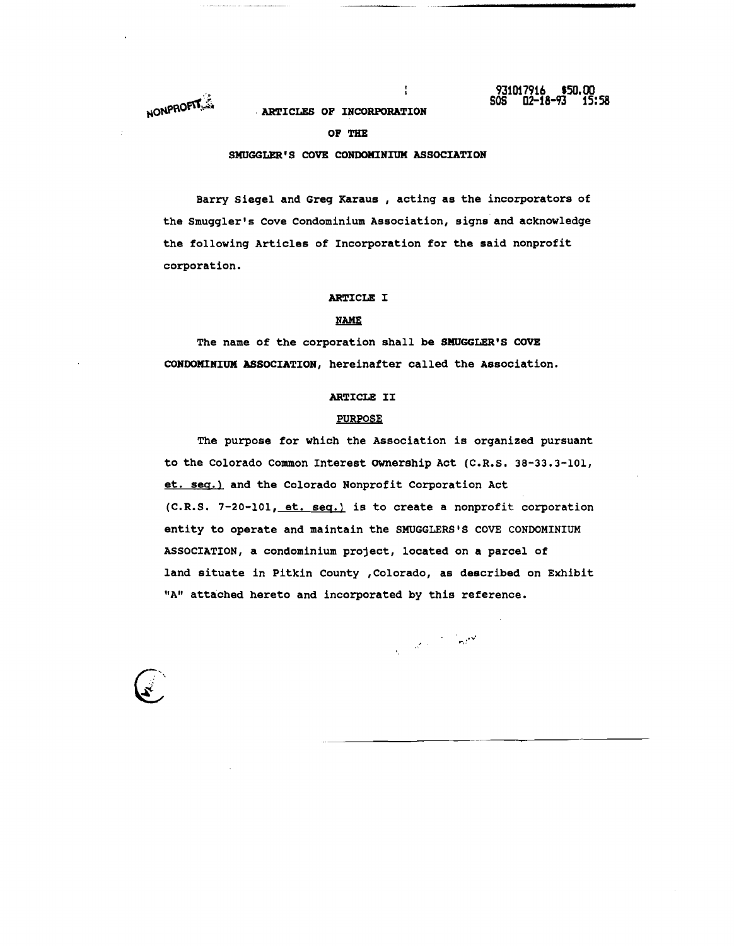NONPROFILE

#### ARTICLES OF INCORPORATION

## OF THE

#### SMUGGLER'S COVE CONDOMINIUM ASSOCIATION

Barry siegel and Greg Karaus , acting as the incorporators of the Smuggler's Cove Condominium Association, signs and acknowledge the following Articles of Incorporation for the said nonprofit corporation.

 $\mathbf{I}$ 

## ARTICLE I

## **NAME**

The name of the corporation shall be SMUGGLER'S COVE CONDOMINIUX ASSOCIATION, hereinafter called the Association.

## ARTICLE II

## PURPOSE

The purpose for which the Association is organized pursuant to the Colorado Common Interest ownership Act (C.R.S. 38-33.3-101, et. seq.) and the Colorado Nonprofit Corporation Act (C.R.S. 7-20-101, et. seq.) is to create a nonprofit corporation entity to operate and maintain the SMUGGLERS'S COVE CONDOMINIUM ASSOCIATION, a condominium project, located on a parcel of land situate in Pitkin County ,Colorado, as described on Exhibit "A" attached hereto and incorporated by this reference.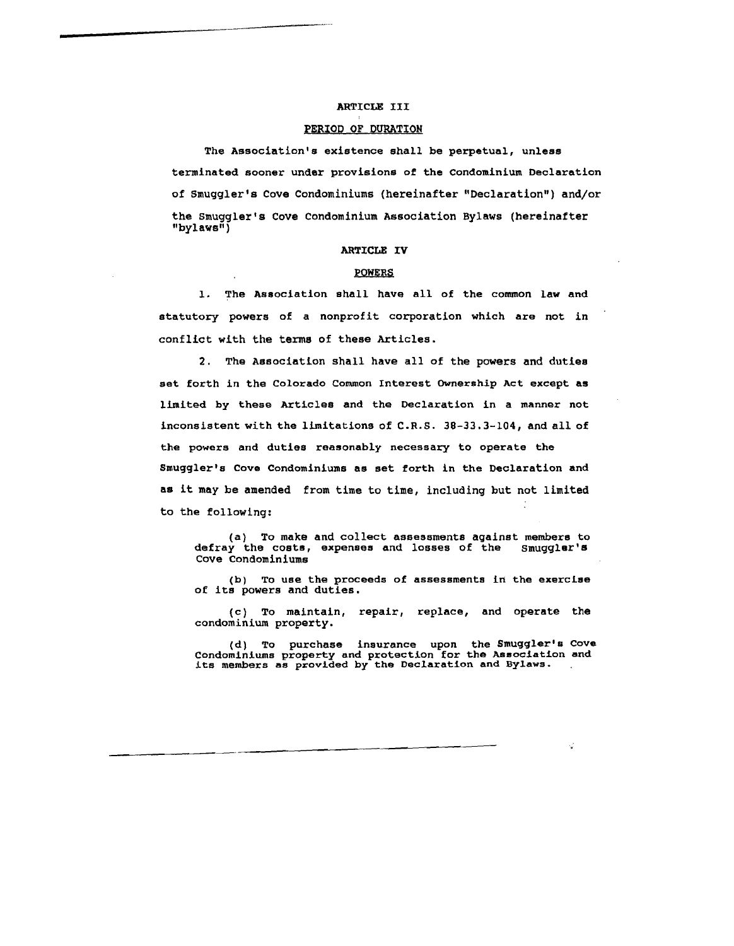## ARTICLE III

#### PERIOD OF DURATION

The Association's existence shall be perpetual, unless terminated sooner under provisions of the Condominium Declaration of smuggler's Cove Condominiums (hereinafter "Declaration") and/or the smuggler's Cove Condominium Association Bylaws (hereinafter "bylaws")

#### ARTICLE IV

#### POWERS

1. The Association shall have all of the common law and statutory powers of a nonprofit corporation which are not in conflict with the terms of these Articles.

2. The Association shall have all of the powers and duties set forth in the Colorado Common Interest Ownership Act except as limited by these Articles and the Declaration in a manner not inconsistent with the limitations of C.R.S. 30-33.3-104, and all of the powers and duties reasonably necessary to operate the Smuggler's Cove Condominiums as set forth in the Declaration and as it may be amended from time to time, inclUding but not limited to the following:

(a) To make and collect assessments against members to defray the costs, expenses and losses of the Smuggler's Cove Condominiums

(b) To use the proceeds of assessments in the exercise of its powers and duties.

(c) To maintain, repair, replace, and operate the condominium property.

(d) To purchase insurance upon the Smuggler's Cove Condominiums property and protection for the Association and its members as provided by the Declaration and Bylaws.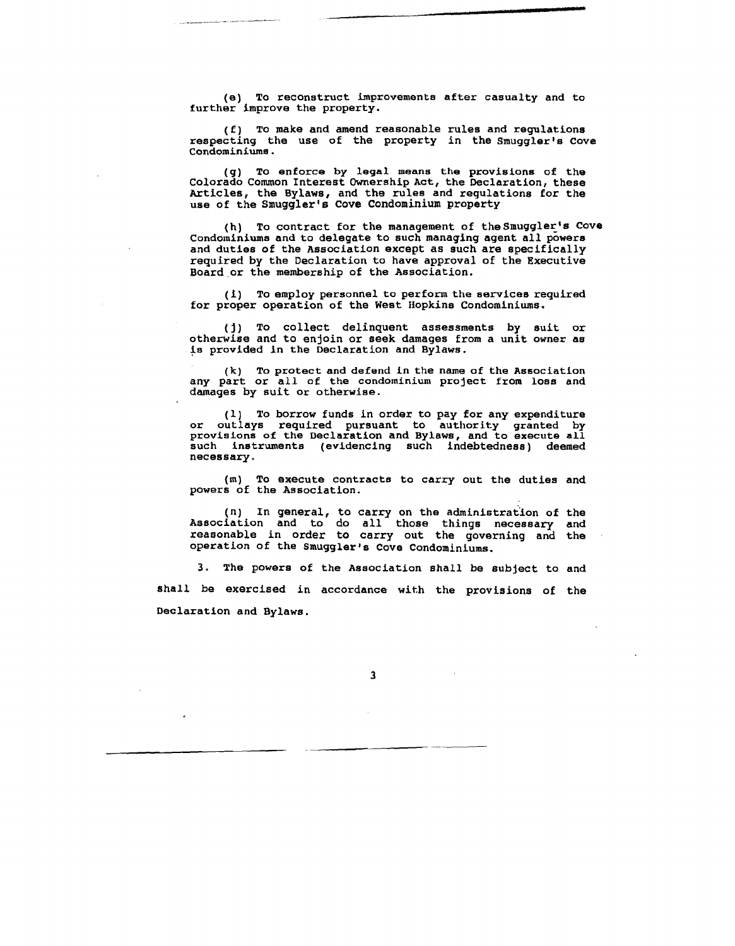(e) To reconstruct improvements after casualty and to further improve the property.

(f) To make and amend reasonable rules and regulations respecting the use of the property in the Smuggler's Cove Condominiums.

(g) To enforce by legal means the provisions of the Colorado Conunon Interest Ownership Act, the Declaration, these Articles, the Bylaws, and the rules and regulations for the use of the Smuggler's Cove Condominium property

(h) To contract for the management of the Smuggler's Cove Condominiums and to delegate to such managing agent all powers and duties of the Association except as such are specifically required by the Declaration to have approval of the Executive Board or the membership of the Association.

(i) To employ personnel to perform the services required for proper operation of the West Hopkins Condominiums.

(j) To collect delinquent assessments by suit or otherwise and to enjoin or seek damages from a unit owner as is provided in the Declaration and Bylaws.

(k) To protect and defend in the name of the Association any part or all of the condominium project from loss and damages by suit Or otherwise.

(1) To borrow funds in order to pay for any expenditure or outlays required pursuant to authority granted by provisions of the Declaration and Bylaws, and to execute all such instruments (evidencing such indebtedness) deemed necessary.

(m) To execute contracts to carry out the duties and powers of the Association.

(n) In general, to carry on the administration of the Association and to do all those things necessary and reasonable in order to carry out the governing and the operation of the Smuggler's Cove Condominiums.

The powers of the Association shall be subject to and shall be exercised in accordance with the provisions of the Declaration and Bylaws.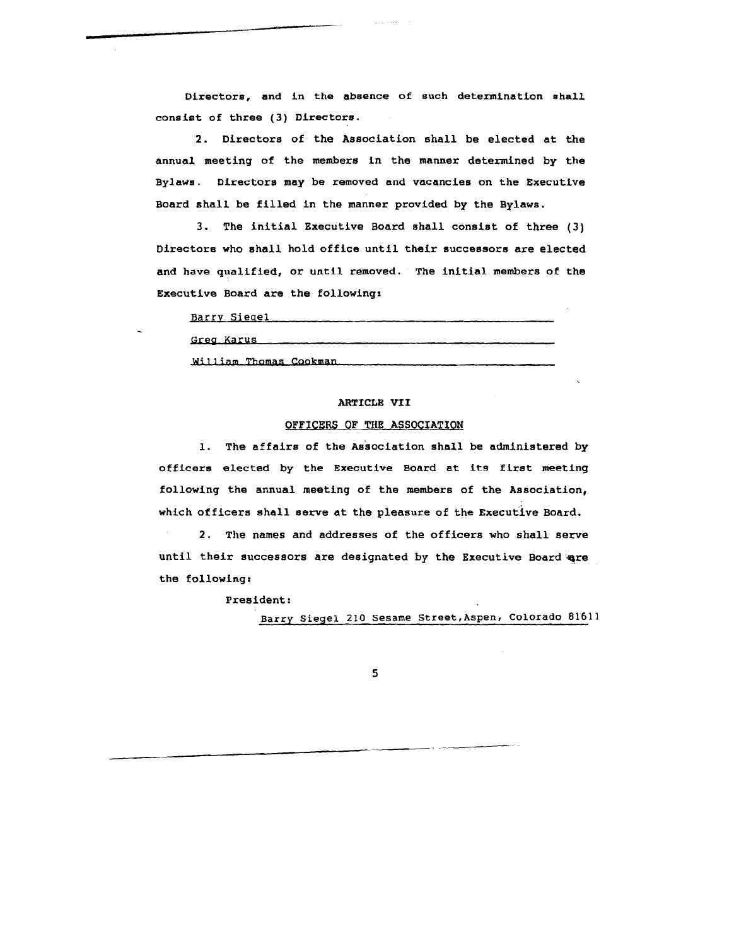Directors, and in the absence of such determination shall consist of three (3) Directors.

2. Directors of the Association shall be elected at the annual meeting of the members in the manner determined by the Bylaws. Directors may be removed and vacancies on the Executive Board shall be filled in the manner provided by the Bylaws.

3. The initial Executive Board shall consist of three (3) Directors who shall hold office until their successors are elected and have qualified, or until removed. The initial members of the Executive Board are the following:

| Barry Siegel           |
|------------------------|
| Greg Karus ___         |
| William Thomas Cookman |

## ARTICLE VII

## OFFICERS OF THE ASSOCIATION

1. The affairs of the Association shall be administered by officers elected by the Executive Board at its first meeting following the annual meeting of the members of the Association, which officers shall serve at the pleasure of the Executive Board.

2. The names and addresses of the officers who shall serve until their successors are designated by the Executive Board are the following:

President:

Barry Siegel 210 Sesame Street,Aspen, Colorado 81611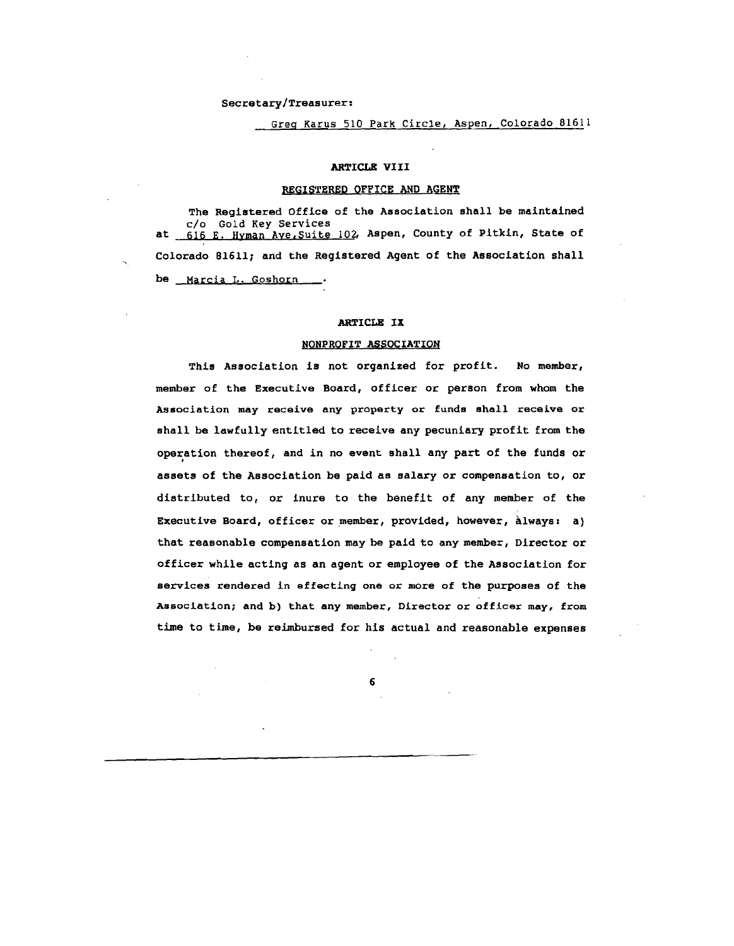#### Secretary/Treasurer:

# Greg Karus 510 Park Circle, Aspen, Colorado 81611

## ARTICLE VIII

#### REGISTERED QFFICE AND AGENT

The Registered Office of the Association shall be maintained c/o Gold Key Services at 616 E. Hyman Ave, Suite 102, Aspen, County of Pitkin, State of Colorado B1611; and the Registered Agent of the Association shall be Marcia L. Goshorn

### ARTICLE IX

#### NONPROFIT ASSOCIATION

This Association is not organized for profit. No member, member of the Executive Board, officer or person from whom the Association may receive any property or funds shall receive or shall be lawfully entitled to receive any pecuniary profit from the operation thereof, and in no event shall any part of the funds or assets of the Association be paid as salary or compensation to, or distributed to, or inure to the benefit of any member of the Executive Board, officer or member, provided, however, always: a) that reasonable compensation may be paid to any member, Director or officer while acting as an agent or employee of the Association for services rendered in effecting one or more of the purposes of the Association; and b) that any member, Director or officer may, from time to time, be reimbursed for his actual and reasonable expenses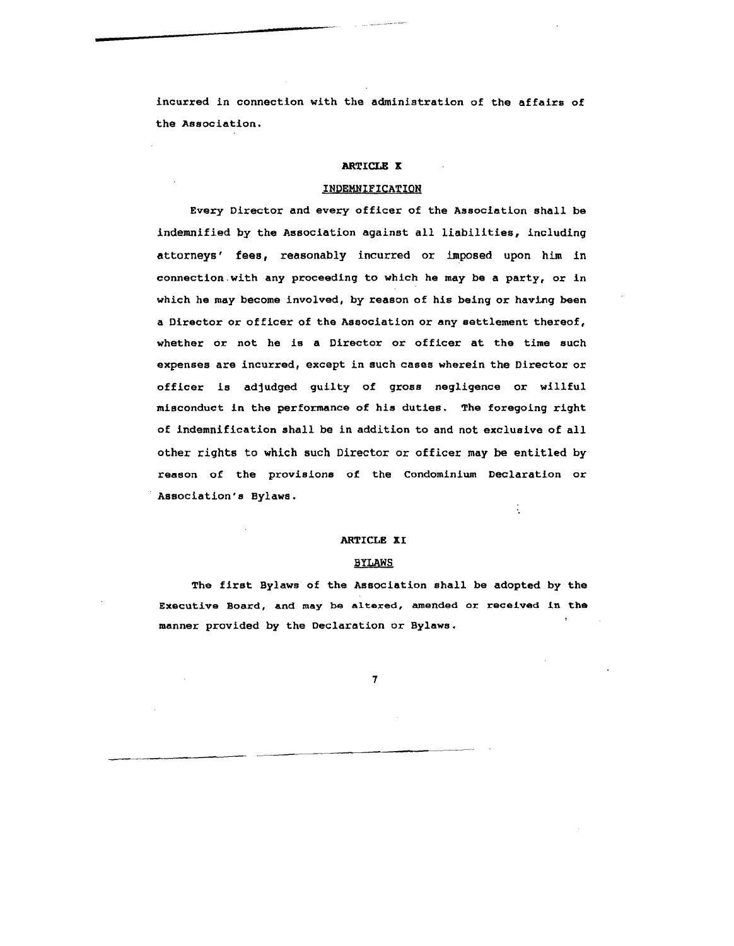incurred in connection with the administration of the affairs of the Association.

## ARTICLE X

#### INDEMNIFICATION

Every Director and every officer of the Association shall be indemnified by the Association against all liabilities, including attorneys' fees, reasonably incurred or imposed upon him in connection.with any proceeding to which he may be a party, or in which he may become involved, by reason of his being or having been a Director or officer of the Association or any settlement thereof, whether or not he is a Director or officer at the time such expenses are incurred, except in such cases wherein the Director or officer is adjudged guilty of gross negligence or willful misconduct in the performance of his duties. The foregoing right of indemnification shall be in addition to and not exclusive of all other rights to which such Director or officer may be entitled by reason of the provisions of the Condominium Declaration or Association's Bylaws.

## ARTICLE XI

## BYLAWS

The first Bylaws of the Association shall be adopted by the Executive Board, and may be a1texed, amended or received in the manner provided by the Declaration or Bylaws.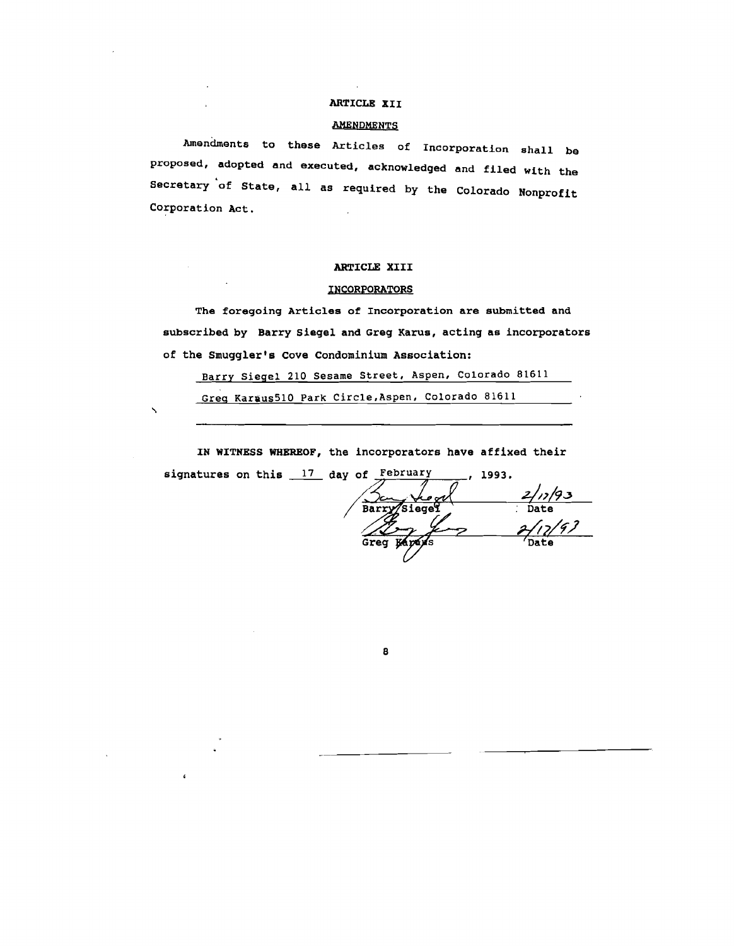# ARTICLE XII

### <u>AMENDMENTS</u>

Amendments to these Articles of Incorporation shall be proposed, adopted and executed, acknowledged and filed with the Secretary of State, all as required by the Colorado Nonprofit Corporation Act.

## ARTICLE XIII

## INCORPORATORS

The foregoing Articles of Incorporation are submitted and subscribed by Barry Siegel and Greg Karus, acting as incorporators of the Smuggler's Cove Condominium Association:

Barry Siegel 210 Sesame Street, Aspen, Colorado 81611

Greg Karaus510 Park Circle,Aspen, Colorado 81611

 $\overline{\phantom{0}}$ 

IN WITNESS WHEREOF, the incorporators have affixed their

8

signatures on this  $17$  day of February  $-$ , 1993.

 $\frac{2/12/93}{2}$ Barry Siegel  $2/17/97$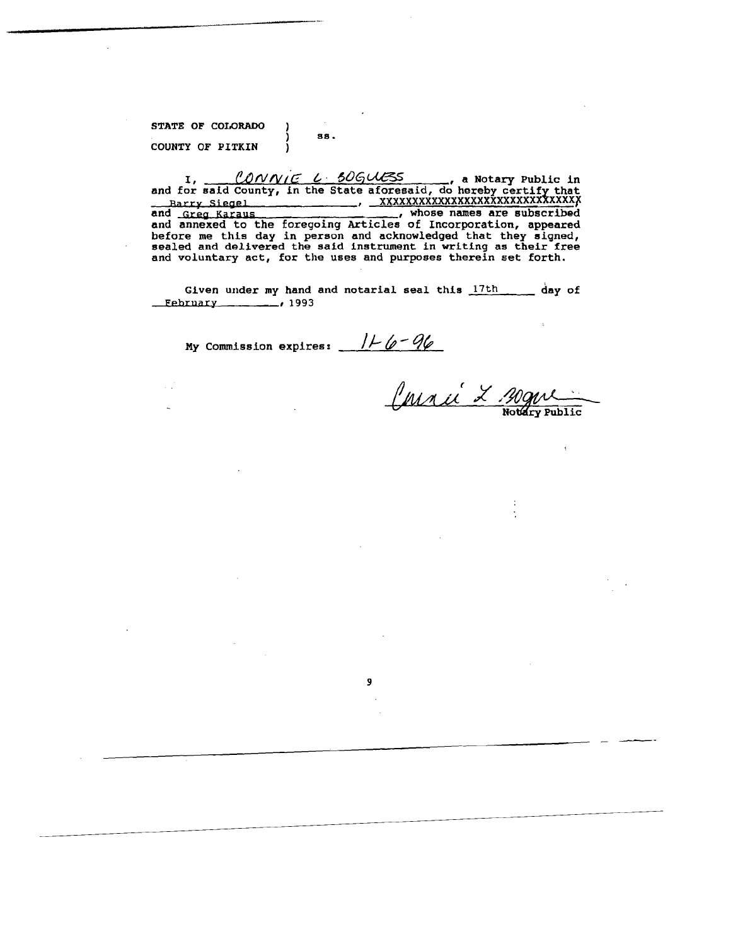STATE OF COLORADO COUNTY OF PITKIN

 $\mathbb{R}^2$ 

38.

ľ

ı

 $\lambda$ 

I, CONNIE L 506UESS, a Notary Public in<br>and for said County, in the State aforesaid, do hereby certify that<br>Barry Siegel Manuel And Manuel And State are enhanced Barry Siegel and Greg Karaus (and Mannese and Siegel and Greg Karaus (and Annese and annexed to the foregoing Articles of Incorporation, appeared before me this day in person and acknowledged that they signed, sealed and d

Given under my hand and notarial seal this 17th day of  $Eebruary$ , 1993

 $\overline{9}$ 

My Commission expires:  $116 - 96$ 

Comme<br>Comme L'Agne

 $\ddot{\cdot}$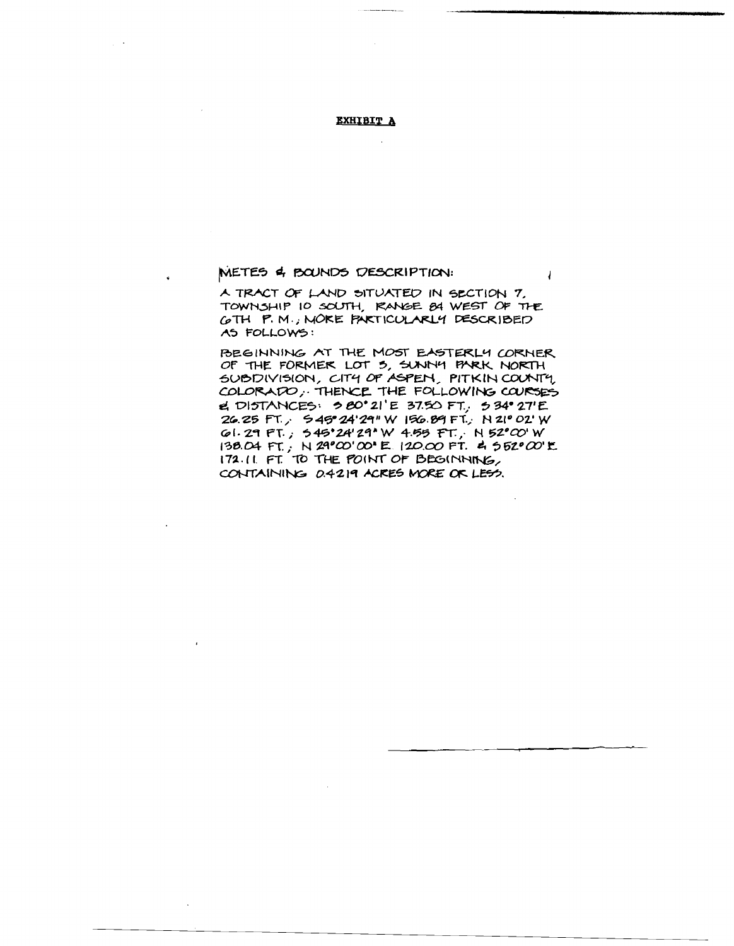## **EXHIBIT A**

# METES 4 BOUNDS DESCRIPTION:

A TRACT OF LAND SITUATED IN SECTION 7. TOWNSHIP IO SOUTH, RANGE BA WEST OF THE GTH P.M., MORE PARTICULARLY DESCRIBED AS FOLLOWS:

 $\overline{1}$ 

BEGINNING AT THE MOST EASTERLY CORNER OF THE FORMER LOT 5, SUNNY PARK NORTH SUBDIVISION, CITY OF ASPEN, PITKIN COUNTY, COLORADO, THENCE THE FOLLOWING COURSES el DISTANCES: 580°21'E 37.50 FT., 534°27'E 26.25 FT., 545°24'29"W 156.89 FT., N 21° 02'W GI. 29 FT., 545'24'29'W 4.55 FT., N 52'00'W 138.04 FT., N 29°00'00'E 120.00 FT. 4 552°00'E 172.11 FT. TO THE POINT OF BEGINNING, CONTAINING 0.4219 ACRES MORE OR LESS.